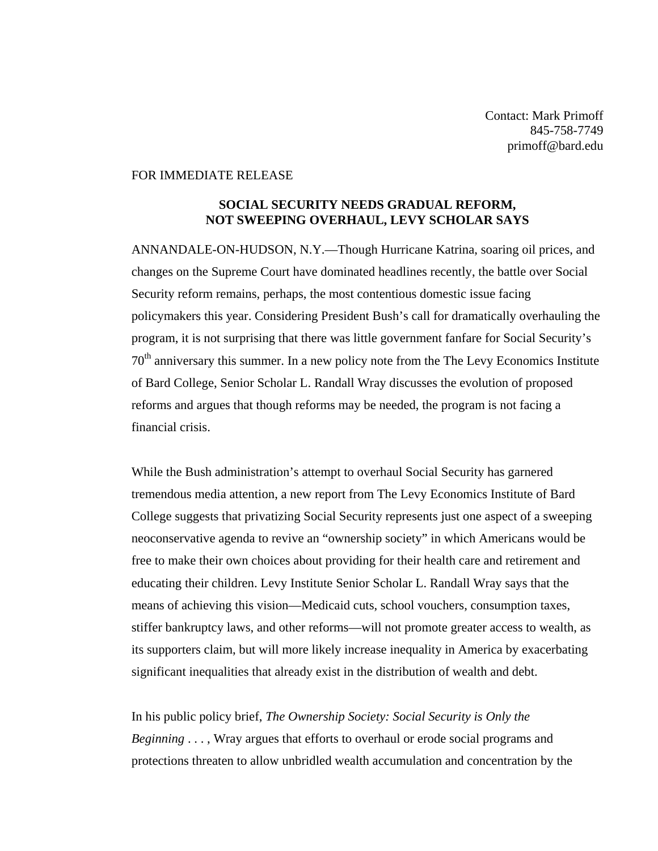Contact: Mark Primoff 845-758-7749 primoff@bard.edu

## FOR IMMEDIATE RELEASE

## **SOCIAL SECURITY NEEDS GRADUAL REFORM, NOT SWEEPING OVERHAUL, LEVY SCHOLAR SAYS**

ANNANDALE-ON-HUDSON, N.Y.—Though Hurricane Katrina, soaring oil prices, and changes on the Supreme Court have dominated headlines recently, the battle over Social Security reform remains, perhaps, the most contentious domestic issue facing policymakers this year. Considering President Bush's call for dramatically overhauling the program, it is not surprising that there was little government fanfare for Social Security's 70th anniversary this summer. In a new policy note from the The Levy Economics Institute of Bard College, Senior Scholar L. Randall Wray discusses the evolution of proposed reforms and argues that though reforms may be needed, the program is not facing a financial crisis.

While the Bush administration's attempt to overhaul Social Security has garnered tremendous media attention, a new report from The Levy Economics Institute of Bard College suggests that privatizing Social Security represents just one aspect of a sweeping neoconservative agenda to revive an "ownership society" in which Americans would be free to make their own choices about providing for their health care and retirement and educating their children. Levy Institute Senior Scholar L. Randall Wray says that the means of achieving this vision—Medicaid cuts, school vouchers, consumption taxes, stiffer bankruptcy laws, and other reforms—will not promote greater access to wealth, as its supporters claim, but will more likely increase inequality in America by exacerbating significant inequalities that already exist in the distribution of wealth and debt.

In his public policy brief, *The Ownership Society: Social Security is Only the Beginning* . . . , Wray argues that efforts to overhaul or erode social programs and protections threaten to allow unbridled wealth accumulation and concentration by the